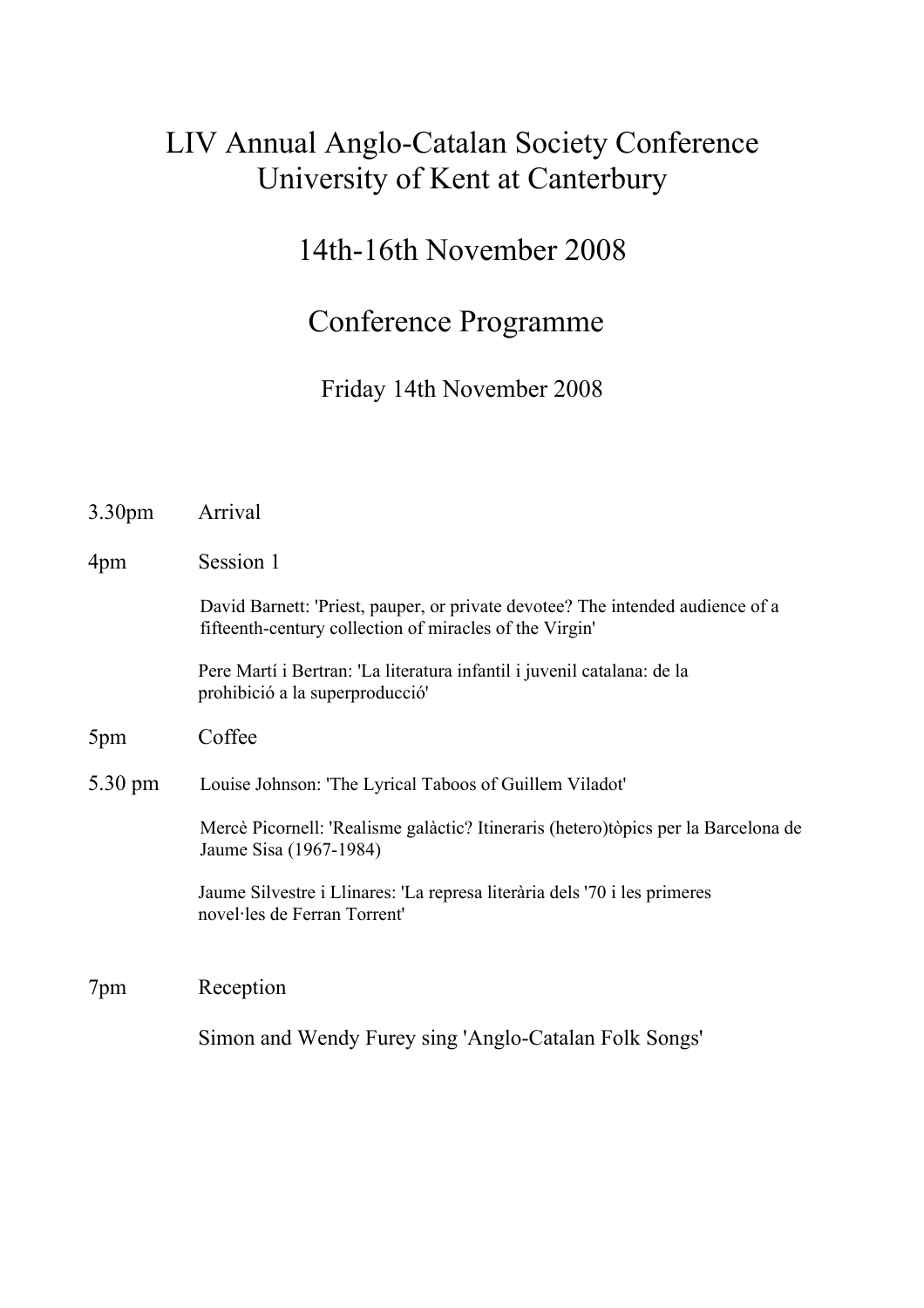## LIV Annual Anglo-Catalan Society Conference University of Kent at Canterbury

## 14th-16th November 2008

#### Conference Programme

Friday 14th November 2008

| 3.30 <sub>pm</sub> | Arrival                                                                                                                                   |
|--------------------|-------------------------------------------------------------------------------------------------------------------------------------------|
| 4pm                | Session 1                                                                                                                                 |
|                    | David Barnett: 'Priest, pauper, or private devotee? The intended audience of a<br>fifteenth-century collection of miracles of the Virgin' |
|                    | Pere Martí i Bertran: 'La literatura infantil i juvenil catalana: de la<br>prohibició a la superproducció                                 |
| 5pm                | Coffee                                                                                                                                    |
| 5.30 pm            | Louise Johnson: 'The Lyrical Taboos of Guillem Viladot'                                                                                   |
|                    | Mercè Picornell: 'Realisme galàctic? Itineraris (hetero)tòpics per la Barcelona de<br>Jaume Sisa (1967-1984)                              |
|                    | Jaume Silvestre i Llinares: 'La represa literària dels '70 i les primeres<br>novel·les de Ferran Torrent'                                 |
| 7pm                | Reception                                                                                                                                 |
|                    | Simon and Wendy Furey sing 'Anglo-Catalan Folk Songs'                                                                                     |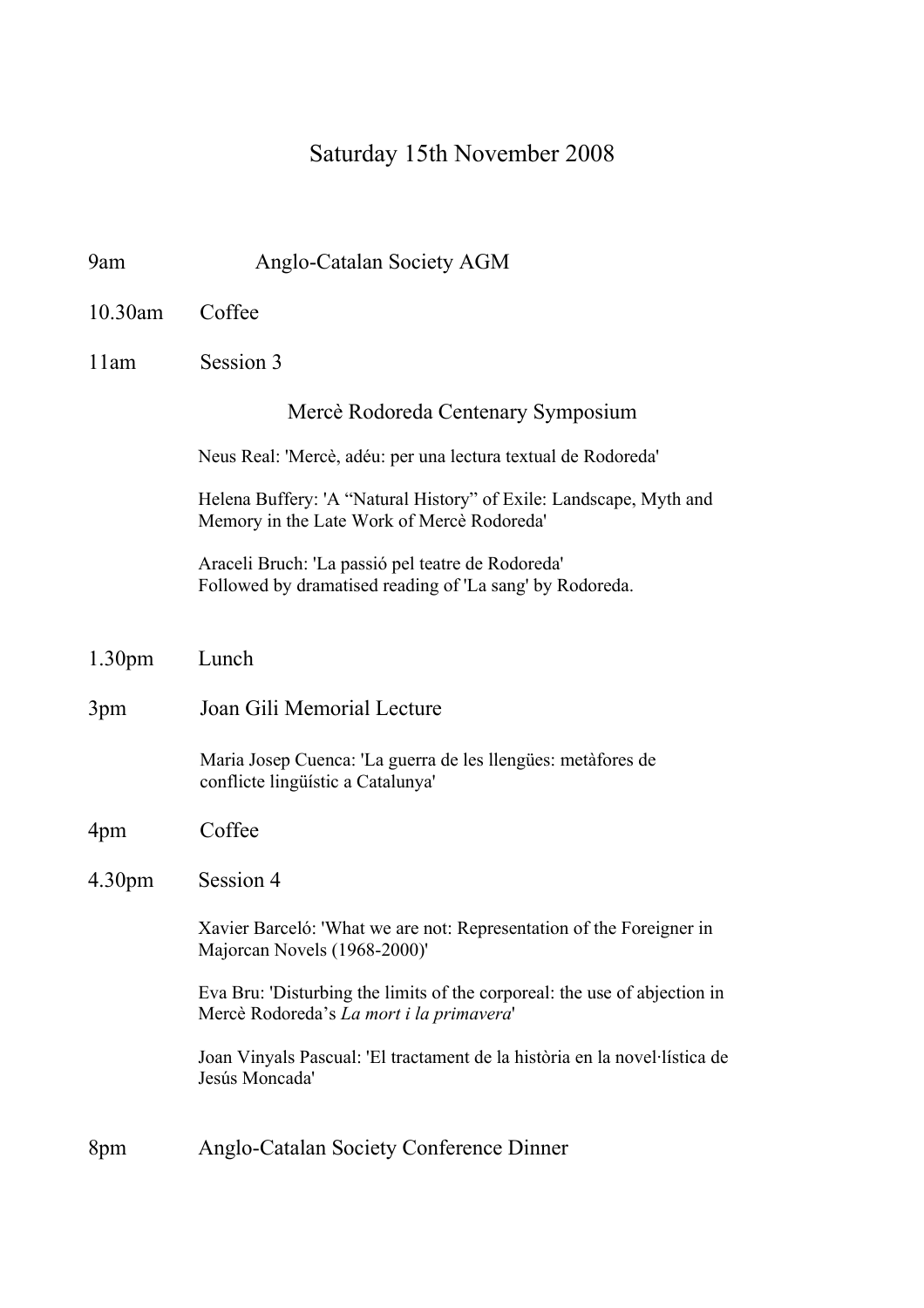# Saturday 15th November 2008

| 9am                | Anglo-Catalan Society AGM                                                                                             |
|--------------------|-----------------------------------------------------------------------------------------------------------------------|
| $10.30$ am         | Coffee                                                                                                                |
| 11am               | Session 3                                                                                                             |
|                    | Mercè Rodoreda Centenary Symposium                                                                                    |
|                    | Neus Real: 'Mercè, adéu: per una lectura textual de Rodoreda'                                                         |
|                    | Helena Buffery: 'A "Natural History" of Exile: Landscape, Myth and<br>Memory in the Late Work of Mercè Rodoreda'      |
|                    | Araceli Bruch: 'La passió pel teatre de Rodoreda'<br>Followed by dramatised reading of 'La sang' by Rodoreda.         |
| 1.30 <sub>pm</sub> | Lunch                                                                                                                 |
| 3pm                | Joan Gili Memorial Lecture                                                                                            |
|                    | Maria Josep Cuenca: 'La guerra de les llengües: metàfores de<br>conflicte lingüístic a Catalunya'                     |
| 4pm                | Coffee                                                                                                                |
| 4.30pm             | Session 4                                                                                                             |
|                    | Xavier Barceló: 'What we are not: Representation of the Foreigner in<br>Majorcan Novels (1968-2000)'                  |
|                    | Eva Bru: 'Disturbing the limits of the corporeal: the use of abjection in<br>Mercè Rodoreda's La mort i la primavera' |
|                    | Joan Vinyals Pascual: 'El tractament de la història en la novel·lística de<br>Jesús Moncada'                          |
| 8pm                | Anglo-Catalan Society Conference Dinner                                                                               |